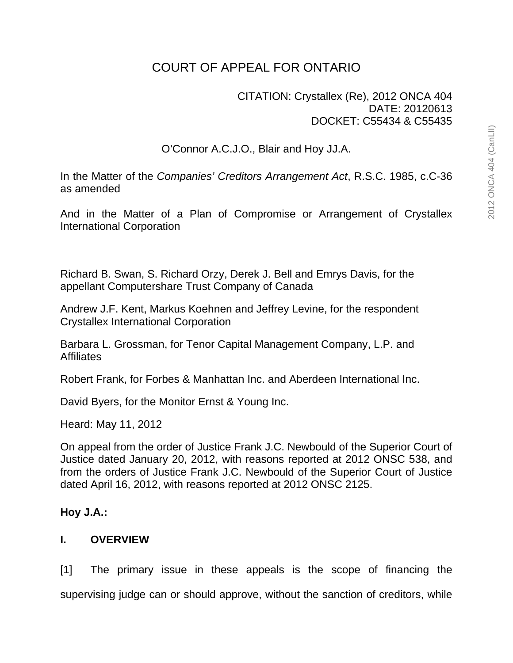# COURT OF APPEAL FOR ONTARIO

## CITATION: Crystallex (Re), 2012 ONCA 404 DATE: 20120613 DOCKET: C55434 & C55435

O'Connor A.C.J.O., Blair and Hoy JJ.A.

In the Matter of the *Companies' Creditors Arrangement Act*, R.S.C. 1985, c.C-36 as amended

And in the Matter of a Plan of Compromise or Arrangement of Crystallex International Corporation

Richard B. Swan, S. Richard Orzy, Derek J. Bell and Emrys Davis, for the appellant Computershare Trust Company of Canada

Andrew J.F. Kent, Markus Koehnen and Jeffrey Levine, for the respondent Crystallex International Corporation

Barbara L. Grossman, for Tenor Capital Management Company, L.P. and **Affiliates** 

Robert Frank, for Forbes & Manhattan Inc. and Aberdeen International Inc.

David Byers, for the Monitor Ernst & Young Inc.

Heard: May 11, 2012

On appeal from the order of Justice Frank J.C. Newbould of the Superior Court of Justice dated January 20, 2012, with reasons reported at 2012 ONSC 538, and from the orders of Justice Frank J.C. Newbould of the Superior Court of Justice dated April 16, 2012, with reasons reported at 2012 ONSC 2125.

## **Hoy J.A.:**

## **I. OVERVIEW**

[1] The primary issue in these appeals is the scope of financing the supervising judge can or should approve, without the sanction of creditors, while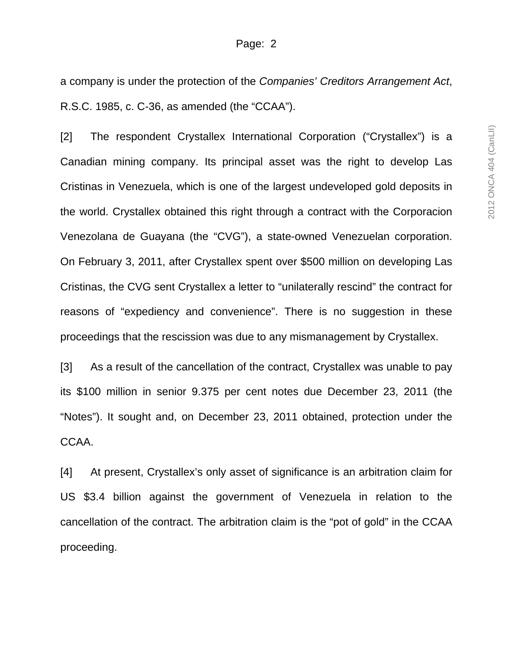a company is under the protection of the *Companies' Creditors Arrangement Act*, R.S.C. 1985, c. C-36, as amended (the "CCAA").

[2] The respondent Crystallex International Corporation ("Crystallex") is a Canadian mining company. Its principal asset was the right to develop Las Cristinas in Venezuela, which is one of the largest undeveloped gold deposits in the world. Crystallex obtained this right through a contract with the Corporacion Venezolana de Guayana (the "CVG"), a state-owned Venezuelan corporation. On February 3, 2011, after Crystallex spent over \$500 million on developing Las Cristinas, the CVG sent Crystallex a letter to "unilaterally rescind" the contract for reasons of "expediency and convenience". There is no suggestion in these proceedings that the rescission was due to any mismanagement by Crystallex.

[3] As a result of the cancellation of the contract, Crystallex was unable to pay its \$100 million in senior 9.375 per cent notes due December 23, 2011 (the "Notes"). It sought and, on December 23, 2011 obtained, protection under the CCAA.

[4] At present, Crystallex's only asset of significance is an arbitration claim for US \$3.4 billion against the government of Venezuela in relation to the cancellation of the contract. The arbitration claim is the "pot of gold" in the CCAA proceeding.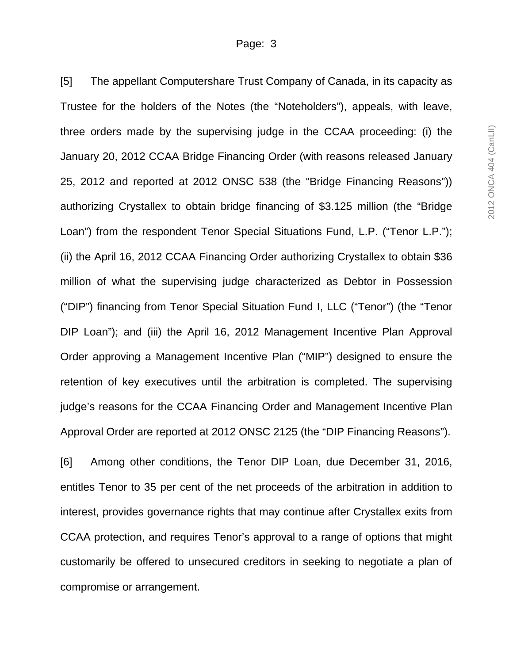[5] The appellant Computershare Trust Company of Canada, in its capacity as Trustee for the holders of the Notes (the "Noteholders"), appeals, with leave, three orders made by the supervising judge in the CCAA proceeding: (i) the January 20, 2012 CCAA Bridge Financing Order (with reasons released January 25, 2012 and reported at 2012 ONSC 538 (the "Bridge Financing Reasons")) authorizing Crystallex to obtain bridge financing of \$3.125 million (the "Bridge Loan") from the respondent Tenor Special Situations Fund, L.P. ("Tenor L.P."); (ii) the April 16, 2012 CCAA Financing Order authorizing Crystallex to obtain \$36 million of what the supervising judge characterized as Debtor in Possession ("DIP") financing from Tenor Special Situation Fund I, LLC ("Tenor") (the "Tenor DIP Loan"); and (iii) the April 16, 2012 Management Incentive Plan Approval Order approving a Management Incentive Plan ("MIP") designed to ensure the retention of key executives until the arbitration is completed. The supervising judge's reasons for the CCAA Financing Order and Management Incentive Plan Approval Order are reported at 2012 ONSC 2125 (the "DIP Financing Reasons").

[6] Among other conditions, the Tenor DIP Loan, due December 31, 2016, entitles Tenor to 35 per cent of the net proceeds of the arbitration in addition to interest, provides governance rights that may continue after Crystallex exits from CCAA protection, and requires Tenor's approval to a range of options that might customarily be offered to unsecured creditors in seeking to negotiate a plan of compromise or arrangement.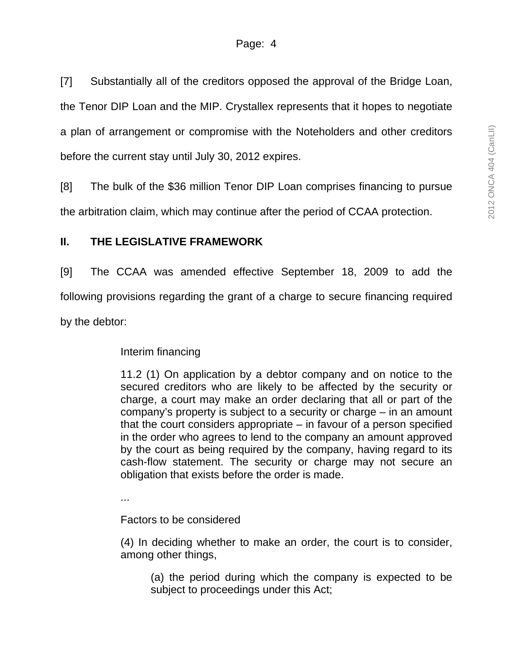[7] Substantially all of the creditors opposed the approval of the Bridge Loan, the Tenor DIP Loan and the MIP. Crystallex represents that it hopes to negotiate a plan of arrangement or compromise with the Noteholders and other creditors before the current stay until July 30, 2012 expires.

[8] The bulk of the \$36 million Tenor DIP Loan comprises financing to pursue the arbitration claim, which may continue after the period of CCAA protection.

# **II. THE LEGISLATIVE FRAMEWORK**

[9] The CCAA was amended effective September 18, 2009 to add the following provisions regarding the grant of a charge to secure financing required by the debtor:

Interim financing

11.2 (1) On application by a debtor company and on notice to the secured creditors who are likely to be affected by the security or charge, a court may make an order declaring that all or part of the company's property is subject to a security or charge – in an amount that the court considers appropriate – in favour of a person specified in the order who agrees to lend to the company an amount approved by the court as being required by the company, having regard to its cash-flow statement. The security or charge may not secure an obligation that exists before the order is made.

...

Factors to be considered

(4) In deciding whether to make an order, the court is to consider, among other things,

(a) the period during which the company is expected to be subject to proceedings under this Act;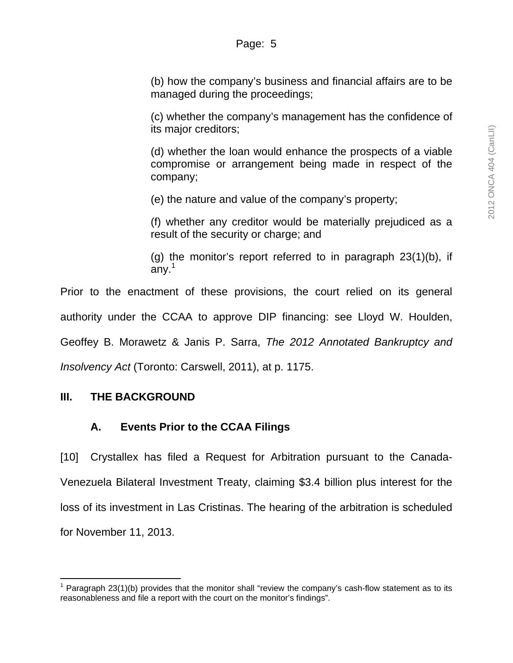(b) how the company's business and financial affairs are to be managed during the proceedings;

(c) whether the company's management has the confidence of its major creditors;

(d) whether the loan would enhance the prospects of a viable compromise or arrangement being made in respect of the company;

(e) the nature and value of the company's property;

(f) whether any creditor would be materially prejudiced as a result of the security or charge; and

(g) the monitor's report referred to in paragraph 23(1)(b), if  $any.<sup>1</sup>$ 

Prior to the enactment of these provisions, the court relied on its general authority under the CCAA to approve DIP financing: see Lloyd W. Houlden, Geoffey B. Morawetz & Janis P. Sarra, *The 2012 Annotated Bankruptcy and Insolvency Act* (Toronto: Carswell, 2011), at p. 1175.

## **III. THE BACKGROUND**

-

## **A. Events Prior to the CCAA Filings**

[10] Crystallex has filed a Request for Arbitration pursuant to the Canada-Venezuela Bilateral Investment Treaty, claiming \$3.4 billion plus interest for the loss of its investment in Las Cristinas. The hearing of the arbitration is scheduled for November 11, 2013.

<sup>&</sup>lt;sup>1</sup> Paragraph 23(1)(b) provides that the monitor shall "review the company's cash-flow statement as to its reasonableness and file a report with the court on the monitor's findings".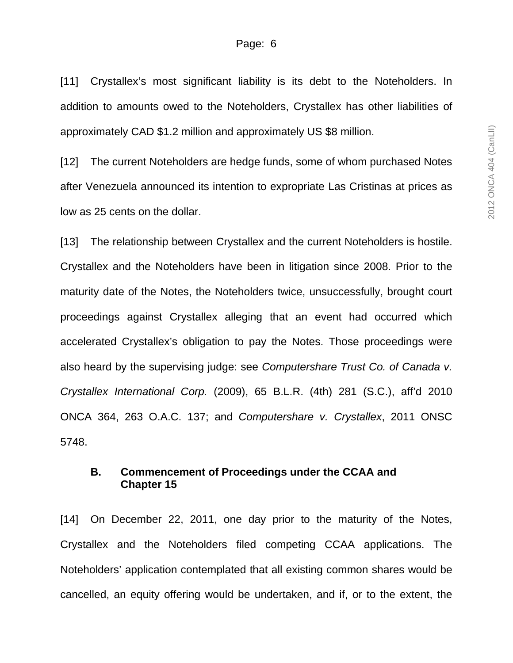[11] Crystallex's most significant liability is its debt to the Noteholders. In addition to amounts owed to the Noteholders, Crystallex has other liabilities of approximately CAD \$1.2 million and approximately US \$8 million.

[12] The current Noteholders are hedge funds, some of whom purchased Notes after Venezuela announced its intention to expropriate Las Cristinas at prices as low as 25 cents on the dollar.

[13] The relationship between Crystallex and the current Noteholders is hostile. Crystallex and the Noteholders have been in litigation since 2008. Prior to the maturity date of the Notes, the Noteholders twice, unsuccessfully, brought court proceedings against Crystallex alleging that an event had occurred which accelerated Crystallex's obligation to pay the Notes. Those proceedings were also heard by the supervising judge: see *Computershare Trust Co. of Canada v. Crystallex International Corp.* (2009), 65 B.L.R. (4th) 281 (S.C.), aff'd 2010 ONCA 364, 263 O.A.C. 137; and *Computershare v. Crystallex*, 2011 ONSC 5748.

### **B. Commencement of Proceedings under the CCAA and Chapter 15**

[14] On December 22, 2011, one day prior to the maturity of the Notes, Crystallex and the Noteholders filed competing CCAA applications. The Noteholders' application contemplated that all existing common shares would be cancelled, an equity offering would be undertaken, and if, or to the extent, the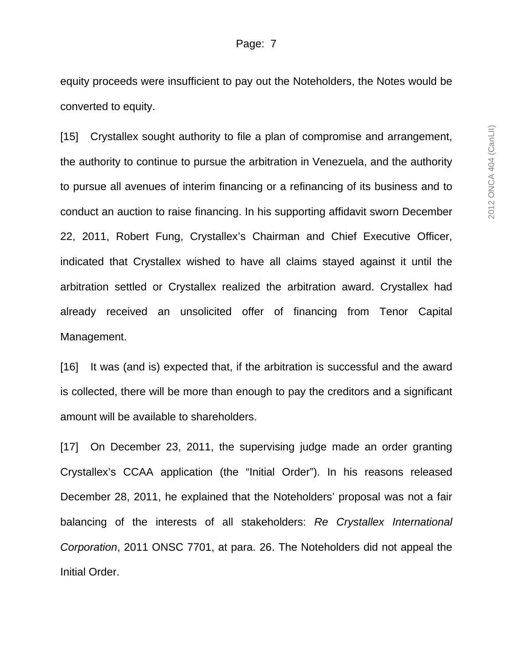equity proceeds were insufficient to pay out the Noteholders, the Notes would be converted to equity.

[15] Crystallex sought authority to file a plan of compromise and arrangement, the authority to continue to pursue the arbitration in Venezuela, and the authority to pursue all avenues of interim financing or a refinancing of its business and to conduct an auction to raise financing. In his supporting affidavit sworn December 22, 2011, Robert Fung, Crystallex's Chairman and Chief Executive Officer, indicated that Crystallex wished to have all claims stayed against it until the arbitration settled or Crystallex realized the arbitration award. Crystallex had already received an unsolicited offer of financing from Tenor Capital Management.

[16] It was (and is) expected that, if the arbitration is successful and the award is collected, there will be more than enough to pay the creditors and a significant amount will be available to shareholders.

[17] On December 23, 2011, the supervising judge made an order granting Crystallex's CCAA application (the "Initial Order"). In his reasons released December 28, 2011, he explained that the Noteholders' proposal was not a fair balancing of the interests of all stakeholders: *Re Crystallex International Corporation*, 2011 ONSC 7701, at para. 26. The Noteholders did not appeal the Initial Order.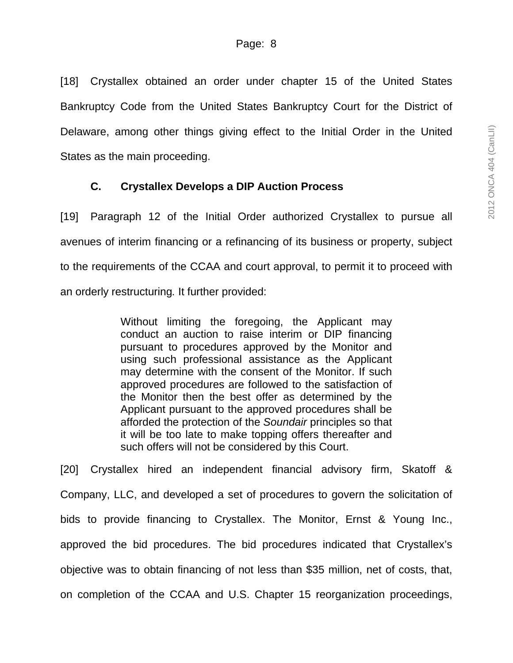[18] Crystallex obtained an order under chapter 15 of the United States Bankruptcy Code from the United States Bankruptcy Court for the District of Delaware, among other things giving effect to the Initial Order in the United States as the main proceeding.

## **C. Crystallex Develops a DIP Auction Process**

[19] Paragraph 12 of the Initial Order authorized Crystallex to pursue all avenues of interim financing or a refinancing of its business or property, subject to the requirements of the CCAA and court approval, to permit it to proceed with an orderly restructuring*.* It further provided:

> Without limiting the foregoing, the Applicant may conduct an auction to raise interim or DIP financing pursuant to procedures approved by the Monitor and using such professional assistance as the Applicant may determine with the consent of the Monitor. If such approved procedures are followed to the satisfaction of the Monitor then the best offer as determined by the Applicant pursuant to the approved procedures shall be afforded the protection of the *Soundair* principles so that it will be too late to make topping offers thereafter and such offers will not be considered by this Court.

[20] Crystallex hired an independent financial advisory firm, Skatoff & Company, LLC, and developed a set of procedures to govern the solicitation of bids to provide financing to Crystallex. The Monitor, Ernst & Young Inc., approved the bid procedures. The bid procedures indicated that Crystallex's objective was to obtain financing of not less than \$35 million, net of costs, that, on completion of the CCAA and U.S. Chapter 15 reorganization proceedings,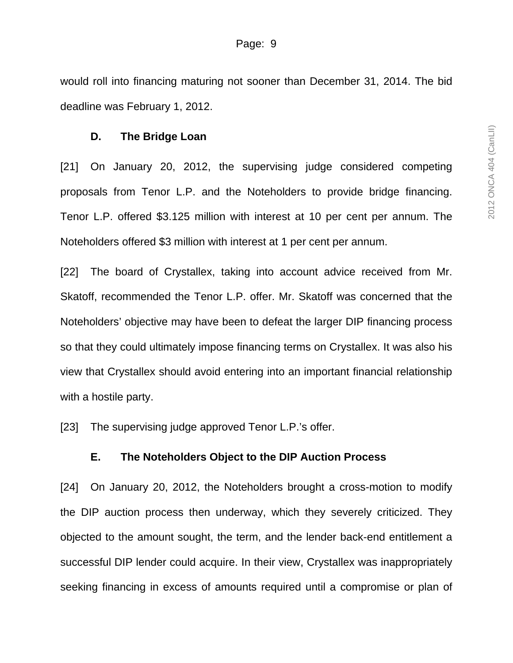would roll into financing maturing not sooner than December 31, 2014. The bid deadline was February 1, 2012.

#### **D. The Bridge Loan**

[21] On January 20, 2012, the supervising judge considered competing proposals from Tenor L.P. and the Noteholders to provide bridge financing. Tenor L.P. offered \$3.125 million with interest at 10 per cent per annum. The Noteholders offered \$3 million with interest at 1 per cent per annum.

[22] The board of Crystallex, taking into account advice received from Mr. Skatoff, recommended the Tenor L.P. offer. Mr. Skatoff was concerned that the Noteholders' objective may have been to defeat the larger DIP financing process so that they could ultimately impose financing terms on Crystallex. It was also his view that Crystallex should avoid entering into an important financial relationship with a hostile party.

[23] The supervising judge approved Tenor L.P.'s offer.

#### **E. The Noteholders Object to the DIP Auction Process**

[24] On January 20, 2012, the Noteholders brought a cross-motion to modify the DIP auction process then underway, which they severely criticized. They objected to the amount sought, the term, and the lender back-end entitlement a successful DIP lender could acquire. In their view, Crystallex was inappropriately seeking financing in excess of amounts required until a compromise or plan of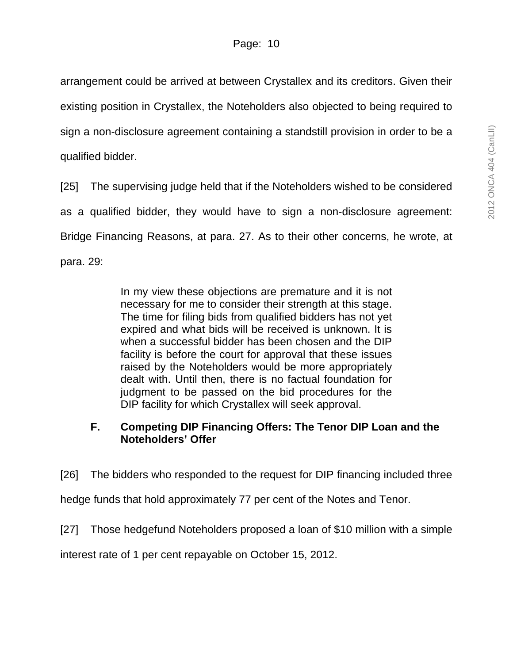arrangement could be arrived at between Crystallex and its creditors. Given their existing position in Crystallex, the Noteholders also objected to being required to sign a non-disclosure agreement containing a standstill provision in order to be a qualified bidder.

[25] The supervising judge held that if the Noteholders wished to be considered as a qualified bidder, they would have to sign a non-disclosure agreement: Bridge Financing Reasons, at para. 27. As to their other concerns, he wrote, at para. 29:

> In my view these objections are premature and it is not necessary for me to consider their strength at this stage. The time for filing bids from qualified bidders has not yet expired and what bids will be received is unknown. It is when a successful bidder has been chosen and the DIP facility is before the court for approval that these issues raised by the Noteholders would be more appropriately dealt with. Until then, there is no factual foundation for judgment to be passed on the bid procedures for the DIP facility for which Crystallex will seek approval.

# **F. Competing DIP Financing Offers: The Tenor DIP Loan and the Noteholders' Offer**

[26] The bidders who responded to the request for DIP financing included three

hedge funds that hold approximately 77 per cent of the Notes and Tenor.

[27] Those hedgefund Noteholders proposed a loan of \$10 million with a simple

interest rate of 1 per cent repayable on October 15, 2012.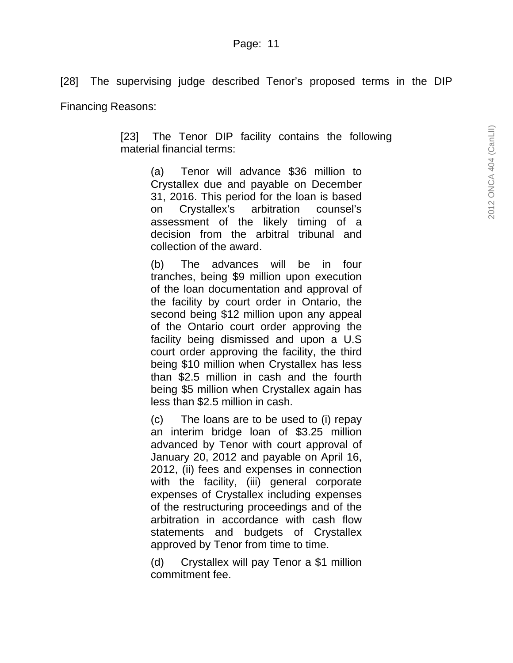[28] The supervising judge described Tenor's proposed terms in the DIP

Financing Reasons:

[23] The Tenor DIP facility contains the following material financial terms:

> (a) Tenor will advance \$36 million to Crystallex due and payable on December 31, 2016. This period for the loan is based on Crystallex's arbitration counsel's assessment of the likely timing of a decision from the arbitral tribunal and collection of the award.

> (b) The advances will be in four tranches, being \$9 million upon execution of the loan documentation and approval of the facility by court order in Ontario, the second being \$12 million upon any appeal of the Ontario court order approving the facility being dismissed and upon a U.S court order approving the facility, the third being \$10 million when Crystallex has less than \$2.5 million in cash and the fourth being \$5 million when Crystallex again has less than \$2.5 million in cash.

> (c) The loans are to be used to (i) repay an interim bridge loan of \$3.25 million advanced by Tenor with court approval of January 20, 2012 and payable on April 16, 2012, (ii) fees and expenses in connection with the facility, (iii) general corporate expenses of Crystallex including expenses of the restructuring proceedings and of the arbitration in accordance with cash flow statements and budgets of Crystallex approved by Tenor from time to time.

> (d) Crystallex will pay Tenor a \$1 million commitment fee.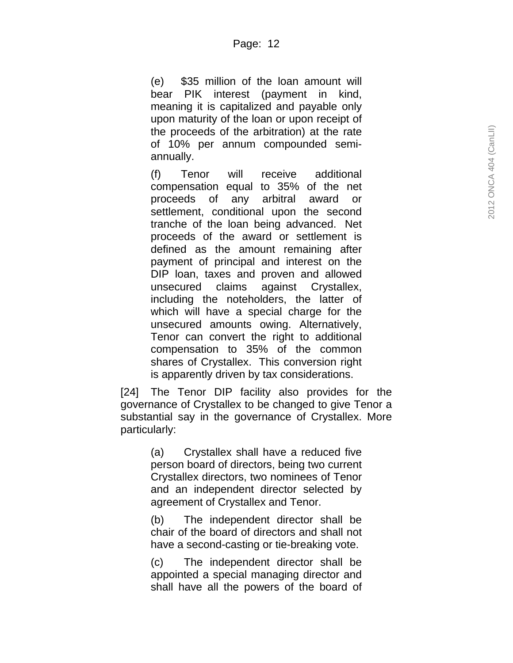(e) \$35 million of the loan amount will bear PIK interest (payment in kind, meaning it is capitalized and payable only upon maturity of the loan or upon receipt of the proceeds of the arbitration) at the rate of 10% per annum compounded semiannually.

(f) Tenor will receive additional compensation equal to 35% of the net proceeds of any arbitral award or settlement, conditional upon the second tranche of the loan being advanced. Net proceeds of the award or settlement is defined as the amount remaining after payment of principal and interest on the DIP loan, taxes and proven and allowed unsecured claims against Crystallex, including the noteholders, the latter of which will have a special charge for the unsecured amounts owing. Alternatively, Tenor can convert the right to additional compensation to 35% of the common shares of Crystallex. This conversion right is apparently driven by tax considerations.

[24] The Tenor DIP facility also provides for the governance of Crystallex to be changed to give Tenor a substantial say in the governance of Crystallex. More particularly:

> (a) Crystallex shall have a reduced five person board of directors, being two current Crystallex directors, two nominees of Tenor and an independent director selected by agreement of Crystallex and Tenor.

> (b) The independent director shall be chair of the board of directors and shall not have a second-casting or tie-breaking vote.

> (c) The independent director shall be appointed a special managing director and shall have all the powers of the board of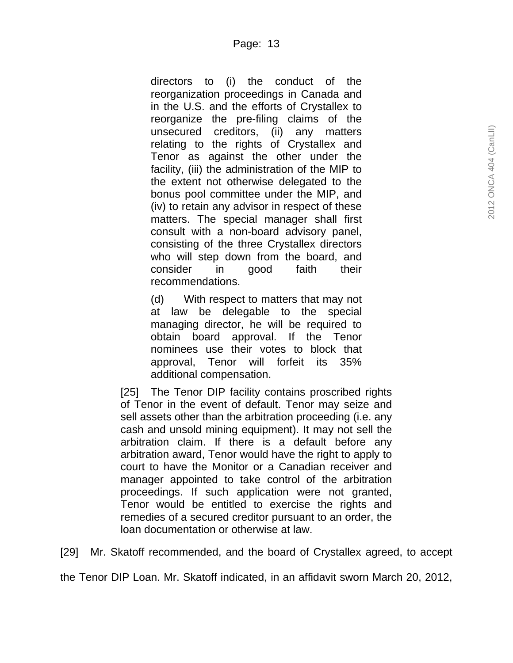directors to (i) the conduct of the reorganization proceedings in Canada and in the U.S. and the efforts of Crystallex to reorganize the pre-filing claims of the unsecured creditors, (ii) any matters relating to the rights of Crystallex and Tenor as against the other under the facility, (iii) the administration of the MIP to the extent not otherwise delegated to the bonus pool committee under the MIP, and (iv) to retain any advisor in respect of these matters. The special manager shall first consult with a non-board advisory panel, consisting of the three Crystallex directors who will step down from the board, and consider in good faith their recommendations.

(d) With respect to matters that may not at law be delegable to the special managing director, he will be required to obtain board approval. If the Tenor nominees use their votes to block that approval, Tenor will forfeit its 35% additional compensation.

[25] The Tenor DIP facility contains proscribed rights of Tenor in the event of default. Tenor may seize and sell assets other than the arbitration proceeding (i.e. any cash and unsold mining equipment). It may not sell the arbitration claim. If there is a default before any arbitration award, Tenor would have the right to apply to court to have the Monitor or a Canadian receiver and manager appointed to take control of the arbitration proceedings. If such application were not granted, Tenor would be entitled to exercise the rights and remedies of a secured creditor pursuant to an order, the loan documentation or otherwise at law.

[29] Mr. Skatoff recommended, and the board of Crystallex agreed, to accept

the Tenor DIP Loan. Mr. Skatoff indicated, in an affidavit sworn March 20, 2012,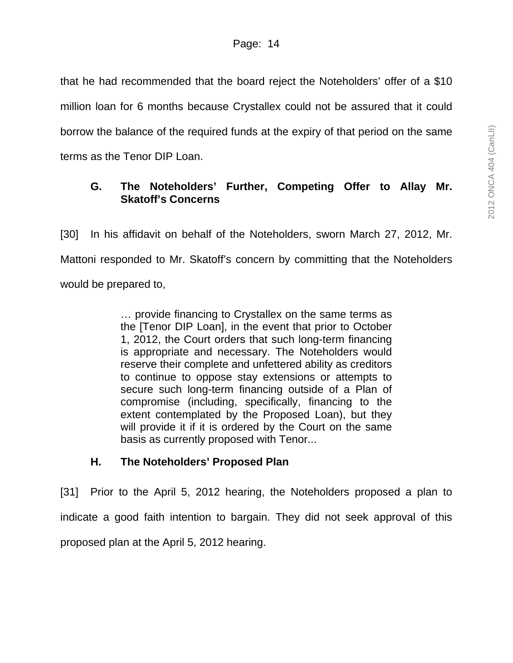that he had recommended that the board reject the Noteholders' offer of a \$10 million loan for 6 months because Crystallex could not be assured that it could borrow the balance of the required funds at the expiry of that period on the same terms as the Tenor DIP Loan.

# **G. The Noteholders' Further, Competing Offer to Allay Mr. Skatoff's Concerns**

[30] In his affidavit on behalf of the Noteholders, sworn March 27, 2012, Mr. Mattoni responded to Mr. Skatoff's concern by committing that the Noteholders would be prepared to,

> … provide financing to Crystallex on the same terms as the [Tenor DIP Loan], in the event that prior to October 1, 2012, the Court orders that such long-term financing is appropriate and necessary. The Noteholders would reserve their complete and unfettered ability as creditors to continue to oppose stay extensions or attempts to secure such long-term financing outside of a Plan of compromise (including, specifically, financing to the extent contemplated by the Proposed Loan), but they will provide it if it is ordered by the Court on the same basis as currently proposed with Tenor...

## **H. The Noteholders' Proposed Plan**

[31] Prior to the April 5, 2012 hearing, the Noteholders proposed a plan to indicate a good faith intention to bargain. They did not seek approval of this proposed plan at the April 5, 2012 hearing.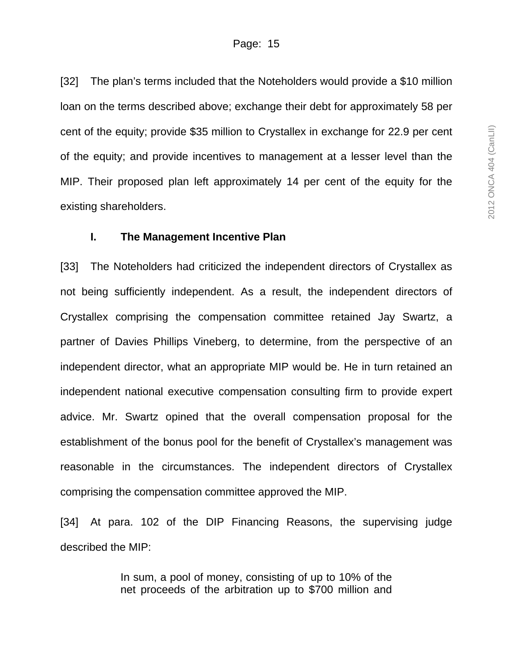[32] The plan's terms included that the Noteholders would provide a \$10 million loan on the terms described above; exchange their debt for approximately 58 per cent of the equity; provide \$35 million to Crystallex in exchange for 22.9 per cent of the equity; and provide incentives to management at a lesser level than the MIP. Their proposed plan left approximately 14 per cent of the equity for the existing shareholders.

#### **I. The Management Incentive Plan**

[33] The Noteholders had criticized the independent directors of Crystallex as not being sufficiently independent. As a result, the independent directors of Crystallex comprising the compensation committee retained Jay Swartz, a partner of Davies Phillips Vineberg, to determine, from the perspective of an independent director, what an appropriate MIP would be. He in turn retained an independent national executive compensation consulting firm to provide expert advice. Mr. Swartz opined that the overall compensation proposal for the establishment of the bonus pool for the benefit of Crystallex's management was reasonable in the circumstances. The independent directors of Crystallex comprising the compensation committee approved the MIP.

[34] At para. 102 of the DIP Financing Reasons, the supervising judge described the MIP:

> In sum, a pool of money, consisting of up to 10% of the net proceeds of the arbitration up to \$700 million and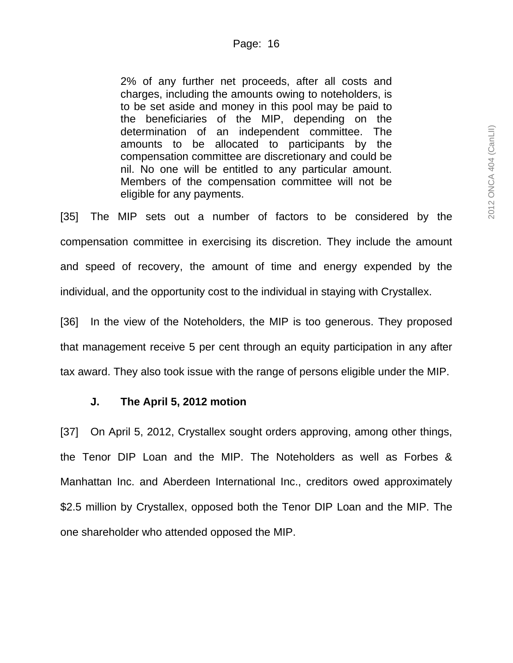2% of any further net proceeds, after all costs and charges, including the amounts owing to noteholders, is to be set aside and money in this pool may be paid to the beneficiaries of the MIP, depending on the determination of an independent committee. The amounts to be allocated to participants by the compensation committee are discretionary and could be nil. No one will be entitled to any particular amount. Members of the compensation committee will not be eligible for any payments.

[35] The MIP sets out a number of factors to be considered by the compensation committee in exercising its discretion. They include the amount and speed of recovery, the amount of time and energy expended by the individual, and the opportunity cost to the individual in staying with Crystallex.

[36] In the view of the Noteholders, the MIP is too generous. They proposed that management receive 5 per cent through an equity participation in any after tax award. They also took issue with the range of persons eligible under the MIP.

## **J. The April 5, 2012 motion**

[37] On April 5, 2012, Crystallex sought orders approving, among other things, the Tenor DIP Loan and the MIP. The Noteholders as well as Forbes & Manhattan Inc. and Aberdeen International Inc., creditors owed approximately \$2.5 million by Crystallex, opposed both the Tenor DIP Loan and the MIP. The one shareholder who attended opposed the MIP.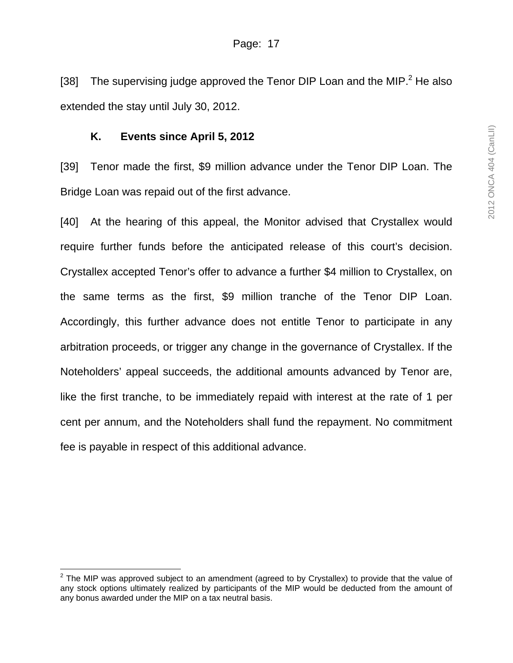[38] The supervising judge approved the Tenor DIP Loan and the MIP. $^2$  He also extended the stay until July 30, 2012.

## **K. Events since April 5, 2012**

[39] Tenor made the first, \$9 million advance under the Tenor DIP Loan. The Bridge Loan was repaid out of the first advance.

[40] At the hearing of this appeal, the Monitor advised that Crystallex would require further funds before the anticipated release of this court's decision. Crystallex accepted Tenor's offer to advance a further \$4 million to Crystallex, on the same terms as the first, \$9 million tranche of the Tenor DIP Loan. Accordingly, this further advance does not entitle Tenor to participate in any arbitration proceeds, or trigger any change in the governance of Crystallex. If the Noteholders' appeal succeeds, the additional amounts advanced by Tenor are, like the first tranche, to be immediately repaid with interest at the rate of 1 per cent per annum, and the Noteholders shall fund the repayment. No commitment fee is payable in respect of this additional advance.

 $\overline{a}$  $2$  The MIP was approved subject to an amendment (agreed to by Crystallex) to provide that the value of any stock options ultimately realized by participants of the MIP would be deducted from the amount of any bonus awarded under the MIP on a tax neutral basis.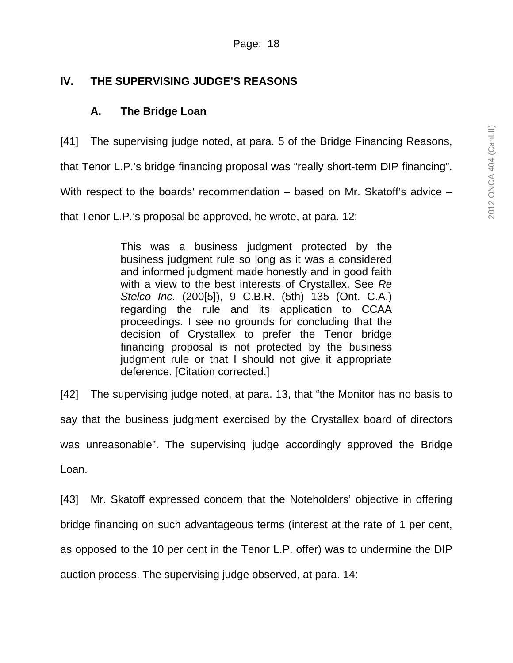# **IV. THE SUPERVISING JUDGE'S REASONS**

# **A. The Bridge Loan**

[41] The supervising judge noted, at para. 5 of the Bridge Financing Reasons, that Tenor L.P.'s bridge financing proposal was "really short-term DIP financing". With respect to the boards' recommendation – based on Mr. Skatoff's advice – that Tenor L.P.'s proposal be approved, he wrote, at para. 12:

> This was a business judgment protected by the business judgment rule so long as it was a considered and informed judgment made honestly and in good faith with a view to the best interests of Crystallex. See *Re Stelco Inc*. (200[5]), 9 C.B.R. (5th) 135 (Ont. C.A.) regarding the rule and its application to CCAA proceedings. I see no grounds for concluding that the decision of Crystallex to prefer the Tenor bridge financing proposal is not protected by the business judgment rule or that I should not give it appropriate deference. [Citation corrected.]

[42] The supervising judge noted, at para. 13, that "the Monitor has no basis to say that the business judgment exercised by the Crystallex board of directors was unreasonable". The supervising judge accordingly approved the Bridge Loan.

[43] Mr. Skatoff expressed concern that the Noteholders' objective in offering bridge financing on such advantageous terms (interest at the rate of 1 per cent, as opposed to the 10 per cent in the Tenor L.P. offer) was to undermine the DIP auction process. The supervising judge observed, at para. 14: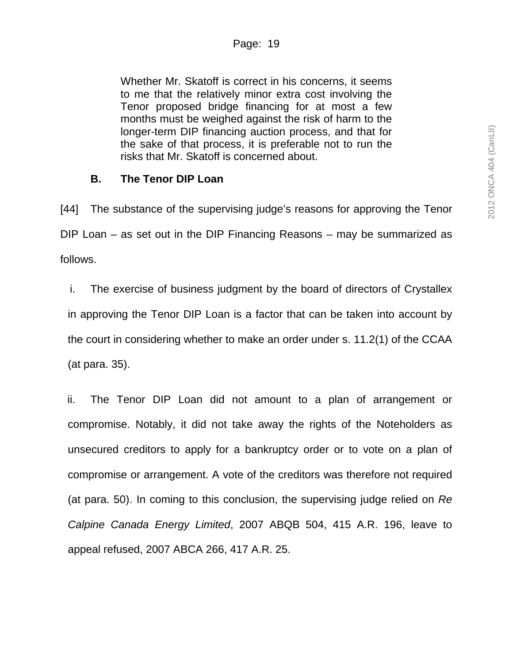Whether Mr. Skatoff is correct in his concerns, it seems to me that the relatively minor extra cost involving the Tenor proposed bridge financing for at most a few months must be weighed against the risk of harm to the longer-term DIP financing auction process, and that for the sake of that process, it is preferable not to run the risks that Mr. Skatoff is concerned about.

#### **B. The Tenor DIP Loan**

[44] The substance of the supervising judge's reasons for approving the Tenor DIP Loan – as set out in the DIP Financing Reasons – may be summarized as follows.

i. The exercise of business judgment by the board of directors of Crystallex in approving the Tenor DIP Loan is a factor that can be taken into account by the court in considering whether to make an order under s. 11.2(1) of the CCAA (at para. 35).

ii. The Tenor DIP Loan did not amount to a plan of arrangement or compromise. Notably, it did not take away the rights of the Noteholders as unsecured creditors to apply for a bankruptcy order or to vote on a plan of compromise or arrangement. A vote of the creditors was therefore not required (at para. 50). In coming to this conclusion, the supervising judge relied on *Re Calpine Canada Energy Limited*, 2007 ABQB 504, 415 A.R. 196, leave to appeal refused, 2007 ABCA 266, 417 A.R. 25.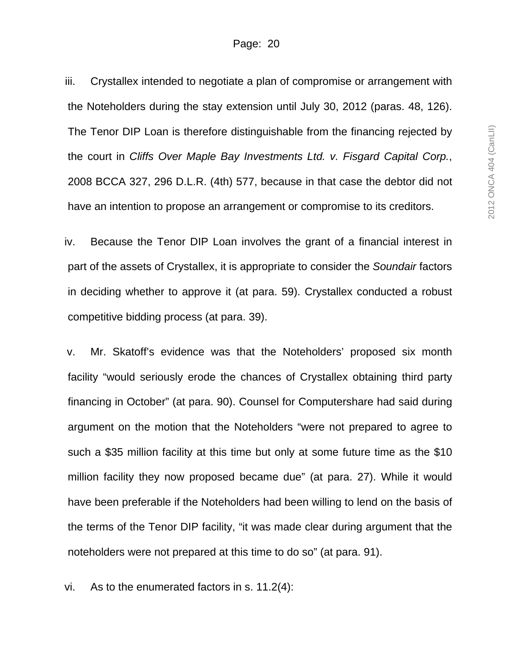iii. Crystallex intended to negotiate a plan of compromise or arrangement with the Noteholders during the stay extension until July 30, 2012 (paras. 48, 126). The Tenor DIP Loan is therefore distinguishable from the financing rejected by the court in *Cliffs Over Maple Bay Investments Ltd. v. Fisgard Capital Corp.*, 2008 BCCA 327, 296 D.L.R. (4th) 577, because in that case the debtor did not have an intention to propose an arrangement or compromise to its creditors.

iv. Because the Tenor DIP Loan involves the grant of a financial interest in part of the assets of Crystallex, it is appropriate to consider the *Soundair* factors in deciding whether to approve it (at para. 59). Crystallex conducted a robust competitive bidding process (at para. 39).

v. Mr. Skatoff's evidence was that the Noteholders' proposed six month facility "would seriously erode the chances of Crystallex obtaining third party financing in October" (at para. 90). Counsel for Computershare had said during argument on the motion that the Noteholders "were not prepared to agree to such a \$35 million facility at this time but only at some future time as the \$10 million facility they now proposed became due" (at para. 27). While it would have been preferable if the Noteholders had been willing to lend on the basis of the terms of the Tenor DIP facility, "it was made clear during argument that the noteholders were not prepared at this time to do so" (at para. 91).

vi. As to the enumerated factors in s. 11.2(4):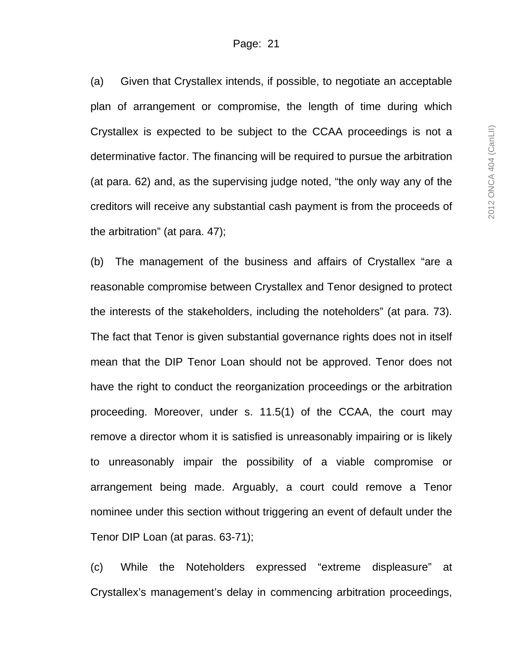(a) Given that Crystallex intends, if possible, to negotiate an acceptable plan of arrangement or compromise, the length of time during which Crystallex is expected to be subject to the CCAA proceedings is not a determinative factor. The financing will be required to pursue the arbitration (at para. 62) and, as the supervising judge noted, "the only way any of the creditors will receive any substantial cash payment is from the proceeds of the arbitration" (at para. 47);

(b) The management of the business and affairs of Crystallex "are a reasonable compromise between Crystallex and Tenor designed to protect the interests of the stakeholders, including the noteholders" (at para. 73). The fact that Tenor is given substantial governance rights does not in itself mean that the DIP Tenor Loan should not be approved. Tenor does not have the right to conduct the reorganization proceedings or the arbitration proceeding. Moreover, under s. 11.5(1) of the CCAA, the court may remove a director whom it is satisfied is unreasonably impairing or is likely to unreasonably impair the possibility of a viable compromise or arrangement being made. Arguably, a court could remove a Tenor nominee under this section without triggering an event of default under the Tenor DIP Loan (at paras. 63-71);

(c) While the Noteholders expressed "extreme displeasure" at Crystallex's management's delay in commencing arbitration proceedings,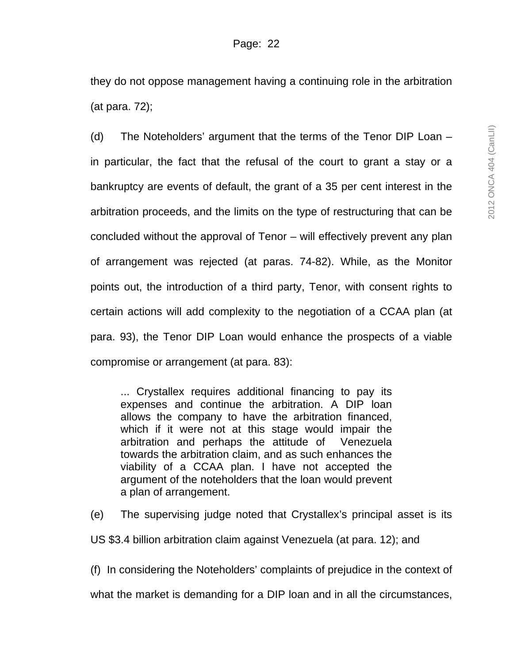they do not oppose management having a continuing role in the arbitration (at para. 72);

(d) The Noteholders' argument that the terms of the Tenor DIP Loan – in particular, the fact that the refusal of the court to grant a stay or a bankruptcy are events of default, the grant of a 35 per cent interest in the arbitration proceeds, and the limits on the type of restructuring that can be concluded without the approval of Tenor – will effectively prevent any plan of arrangement was rejected (at paras. 74-82). While, as the Monitor points out, the introduction of a third party, Tenor, with consent rights to certain actions will add complexity to the negotiation of a CCAA plan (at para. 93), the Tenor DIP Loan would enhance the prospects of a viable compromise or arrangement (at para. 83):

... Crystallex requires additional financing to pay its expenses and continue the arbitration. A DIP loan allows the company to have the arbitration financed, which if it were not at this stage would impair the arbitration and perhaps the attitude of Venezuela towards the arbitration claim, and as such enhances the viability of a CCAA plan. I have not accepted the argument of the noteholders that the loan would prevent a plan of arrangement.

(e) The supervising judge noted that Crystallex's principal asset is its

US \$3.4 billion arbitration claim against Venezuela (at para. 12); and

(f) In considering the Noteholders' complaints of prejudice in the context of

what the market is demanding for a DIP loan and in all the circumstances,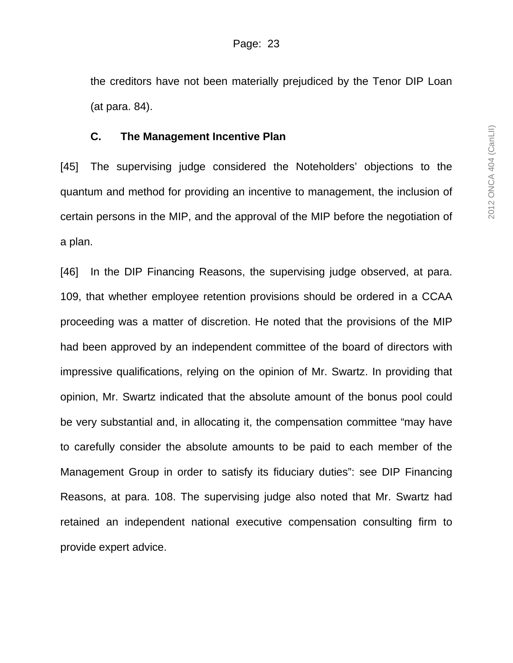the creditors have not been materially prejudiced by the Tenor DIP Loan (at para. 84).

### **C. The Management Incentive Plan**

[45] The supervising judge considered the Noteholders' objections to the quantum and method for providing an incentive to management, the inclusion of certain persons in the MIP, and the approval of the MIP before the negotiation of a plan.

[46] In the DIP Financing Reasons, the supervising judge observed, at para. 109, that whether employee retention provisions should be ordered in a CCAA proceeding was a matter of discretion. He noted that the provisions of the MIP had been approved by an independent committee of the board of directors with impressive qualifications, relying on the opinion of Mr. Swartz. In providing that opinion, Mr. Swartz indicated that the absolute amount of the bonus pool could be very substantial and, in allocating it, the compensation committee "may have to carefully consider the absolute amounts to be paid to each member of the Management Group in order to satisfy its fiduciary duties": see DIP Financing Reasons, at para. 108. The supervising judge also noted that Mr. Swartz had retained an independent national executive compensation consulting firm to provide expert advice.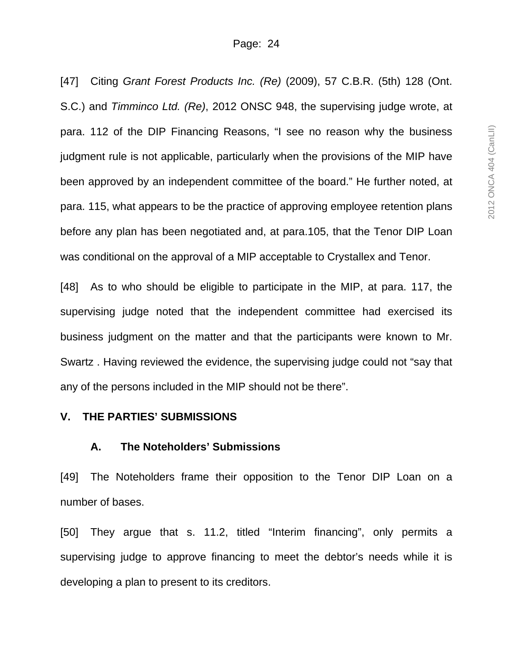[47] Citing *Grant Forest Products Inc. (Re)* (2009), 57 C.B.R. (5th) 128 (Ont. S.C.) and *Timminco Ltd. (Re)*, 2012 ONSC 948, the supervising judge wrote, at para. 112 of the DIP Financing Reasons, "I see no reason why the business judgment rule is not applicable, particularly when the provisions of the MIP have been approved by an independent committee of the board." He further noted, at para. 115, what appears to be the practice of approving employee retention plans before any plan has been negotiated and, at para.105, that the Tenor DIP Loan was conditional on the approval of a MIP acceptable to Crystallex and Tenor.

[48] As to who should be eligible to participate in the MIP, at para. 117, the supervising judge noted that the independent committee had exercised its business judgment on the matter and that the participants were known to Mr. Swartz . Having reviewed the evidence, the supervising judge could not "say that any of the persons included in the MIP should not be there".

#### **V. THE PARTIES' SUBMISSIONS**

## **A. The Noteholders' Submissions**

[49] The Noteholders frame their opposition to the Tenor DIP Loan on a number of bases.

[50] They argue that s. 11.2, titled "Interim financing", only permits a supervising judge to approve financing to meet the debtor's needs while it is developing a plan to present to its creditors.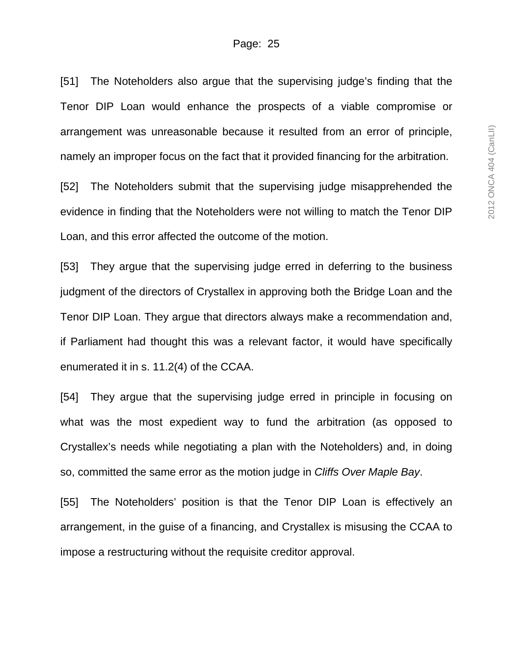[51] The Noteholders also argue that the supervising judge's finding that the Tenor DIP Loan would enhance the prospects of a viable compromise or arrangement was unreasonable because it resulted from an error of principle, namely an improper focus on the fact that it provided financing for the arbitration.

[52] The Noteholders submit that the supervising judge misapprehended the evidence in finding that the Noteholders were not willing to match the Tenor DIP Loan, and this error affected the outcome of the motion.

[53] They argue that the supervising judge erred in deferring to the business judgment of the directors of Crystallex in approving both the Bridge Loan and the Tenor DIP Loan. They argue that directors always make a recommendation and, if Parliament had thought this was a relevant factor, it would have specifically enumerated it in s. 11.2(4) of the CCAA.

[54] They argue that the supervising judge erred in principle in focusing on what was the most expedient way to fund the arbitration (as opposed to Crystallex's needs while negotiating a plan with the Noteholders) and, in doing so, committed the same error as the motion judge in *Cliffs Over Maple Bay*.

[55] The Noteholders' position is that the Tenor DIP Loan is effectively an arrangement, in the guise of a financing, and Crystallex is misusing the CCAA to impose a restructuring without the requisite creditor approval.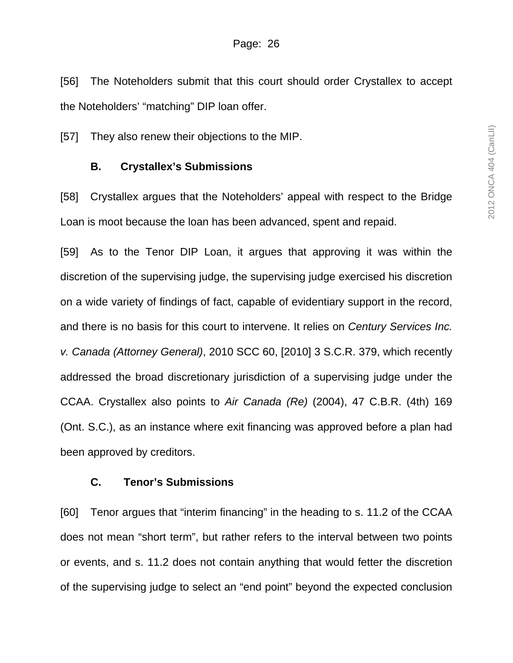[56] The Noteholders submit that this court should order Crystallex to accept the Noteholders' "matching" DIP loan offer.

[57] They also renew their objections to the MIP.

## **B. Crystallex's Submissions**

[58] Crystallex argues that the Noteholders' appeal with respect to the Bridge Loan is moot because the loan has been advanced, spent and repaid.

[59] As to the Tenor DIP Loan, it argues that approving it was within the discretion of the supervising judge, the supervising judge exercised his discretion on a wide variety of findings of fact, capable of evidentiary support in the record, and there is no basis for this court to intervene. It relies on *Century Services Inc. v. Canada (Attorney General)*, 2010 SCC 60, [2010] 3 S.C.R. 379, which recently addressed the broad discretionary jurisdiction of a supervising judge under the CCAA. Crystallex also points to *Air Canada (Re)* (2004), 47 C.B.R. (4th) 169 (Ont. S.C.), as an instance where exit financing was approved before a plan had been approved by creditors.

## **C. Tenor's Submissions**

[60] Tenor argues that "interim financing" in the heading to s. 11.2 of the CCAA does not mean "short term", but rather refers to the interval between two points or events, and s. 11.2 does not contain anything that would fetter the discretion of the supervising judge to select an "end point" beyond the expected conclusion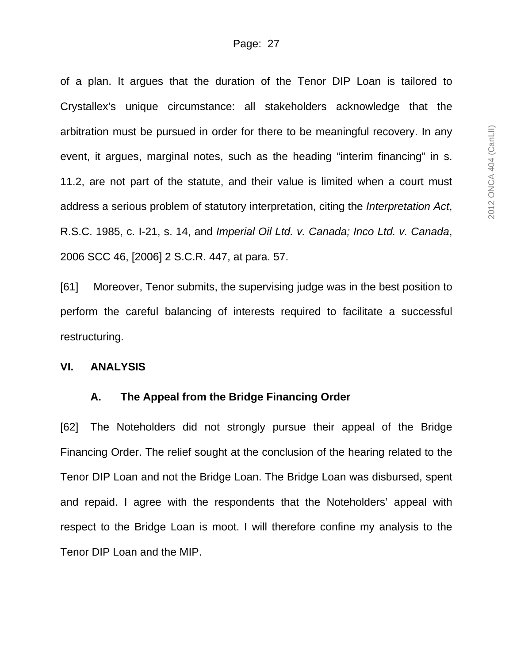of a plan. It argues that the duration of the Tenor DIP Loan is tailored to Crystallex's unique circumstance: all stakeholders acknowledge that the arbitration must be pursued in order for there to be meaningful recovery. In any event, it argues, marginal notes, such as the heading "interim financing" in s. 11.2, are not part of the statute, and their value is limited when a court must address a serious problem of statutory interpretation, citing the *Interpretation Act*, R.S.C. 1985, c. I-21, s. 14, and *Imperial Oil Ltd. v. Canada; Inco Ltd. v. Canada*, 2006 SCC 46, [2006] 2 S.C.R. 447, at para. 57.

[61] Moreover, Tenor submits, the supervising judge was in the best position to perform the careful balancing of interests required to facilitate a successful restructuring.

#### **VI. ANALYSIS**

#### **A. The Appeal from the Bridge Financing Order**

[62] The Noteholders did not strongly pursue their appeal of the Bridge Financing Order. The relief sought at the conclusion of the hearing related to the Tenor DIP Loan and not the Bridge Loan. The Bridge Loan was disbursed, spent and repaid. I agree with the respondents that the Noteholders' appeal with respect to the Bridge Loan is moot. I will therefore confine my analysis to the Tenor DIP Loan and the MIP.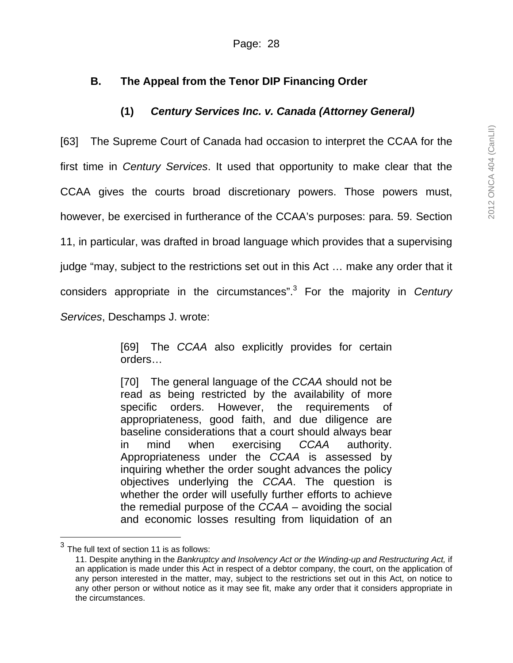# **B. The Appeal from the Tenor DIP Financing Order**

# **(1)** *Century Services Inc. v. Canada (Attorney General)*

[63] The Supreme Court of Canada had occasion to interpret the CCAA for the first time in *Century Services*. It used that opportunity to make clear that the CCAA gives the courts broad discretionary powers. Those powers must, however, be exercised in furtherance of the CCAA's purposes: para. 59. Section 11, in particular, was drafted in broad language which provides that a supervising judge "may, subject to the restrictions set out in this Act … make any order that it considers appropriate in the circumstances".3 For the majority in *Century Services*, Deschamps J. wrote:

> [69] The *CCAA* also explicitly provides for certain orders…

> [70] The general language of the *CCAA* should not be read as being restricted by the availability of more specific orders. However, the requirements of appropriateness, good faith, and due diligence are baseline considerations that a court should always bear in mind when exercising *CCAA* authority. Appropriateness under the *CCAA* is assessed by inquiring whether the order sought advances the policy objectives underlying the *CCAA*. The question is whether the order will usefully further efforts to achieve the remedial purpose of the *CCAA* – avoiding the social and economic losses resulting from liquidation of an

l

The full text of section 11 is as follows:

<sup>11.</sup> Despite anything in the *Bankruptcy and Insolvency Act or the Winding-up and Restructuring Act,* if an application is made under this Act in respect of a debtor company, the court, on the application of any person interested in the matter, may, subject to the restrictions set out in this Act, on notice to any other person or without notice as it may see fit, make any order that it considers appropriate in the circumstances.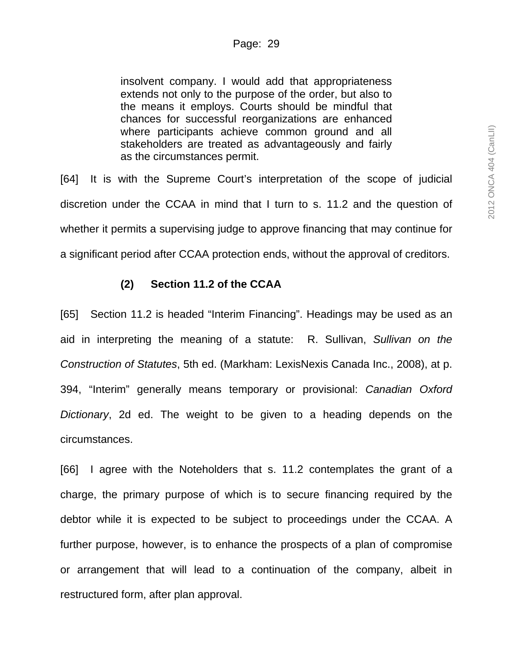insolvent company. I would add that appropriateness extends not only to the purpose of the order, but also to the means it employs. Courts should be mindful that chances for successful reorganizations are enhanced where participants achieve common ground and all stakeholders are treated as advantageously and fairly as the circumstances permit.

[64] It is with the Supreme Court's interpretation of the scope of judicial discretion under the CCAA in mind that I turn to s. 11.2 and the question of whether it permits a supervising judge to approve financing that may continue for a significant period after CCAA protection ends, without the approval of creditors.

## **(2) Section 11.2 of the CCAA**

[65] Section 11.2 is headed "Interim Financing". Headings may be used as an aid in interpreting the meaning of a statute: R. Sullivan, *Sullivan on the Construction of Statutes*, 5th ed. (Markham: LexisNexis Canada Inc., 2008), at p. 394, "Interim" generally means temporary or provisional: *Canadian Oxford Dictionary*, 2d ed. The weight to be given to a heading depends on the circumstances.

[66] I agree with the Noteholders that s. 11.2 contemplates the grant of a charge, the primary purpose of which is to secure financing required by the debtor while it is expected to be subject to proceedings under the CCAA. A further purpose, however, is to enhance the prospects of a plan of compromise or arrangement that will lead to a continuation of the company, albeit in restructured form, after plan approval.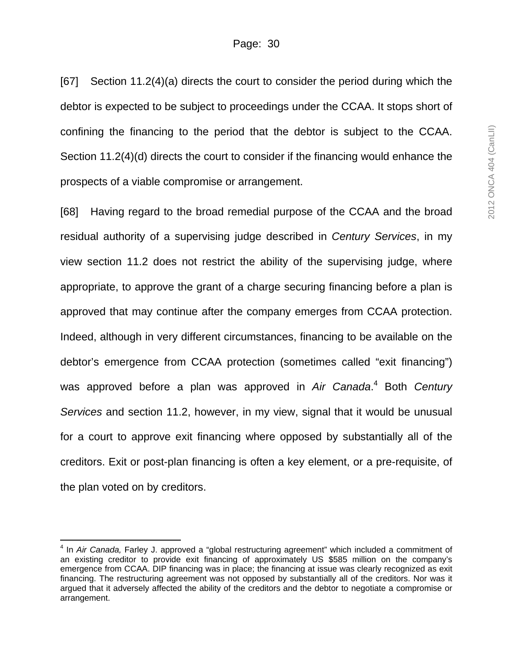[67] Section 11.2(4)(a) directs the court to consider the period during which the debtor is expected to be subject to proceedings under the CCAA. It stops short of confining the financing to the period that the debtor is subject to the CCAA. Section 11.2(4)(d) directs the court to consider if the financing would enhance the prospects of a viable compromise or arrangement.

[68] Having regard to the broad remedial purpose of the CCAA and the broad residual authority of a supervising judge described in *Century Services*, in my view section 11.2 does not restrict the ability of the supervising judge, where appropriate, to approve the grant of a charge securing financing before a plan is approved that may continue after the company emerges from CCAA protection. Indeed, although in very different circumstances, financing to be available on the debtor's emergence from CCAA protection (sometimes called "exit financing") was approved before a plan was approved in *Air Canada*. 4 Both *Century Services* and section 11.2, however, in my view, signal that it would be unusual for a court to approve exit financing where opposed by substantially all of the creditors. Exit or post-plan financing is often a key element, or a pre-requisite, of the plan voted on by creditors.

 $\overline{\phantom{a}}$ 

<sup>4</sup> In *Air Canada,* Farley J. approved a "global restructuring agreement" which included a commitment of an existing creditor to provide exit financing of approximately US \$585 million on the company's emergence from CCAA. DIP financing was in place; the financing at issue was clearly recognized as exit financing. The restructuring agreement was not opposed by substantially all of the creditors. Nor was it argued that it adversely affected the ability of the creditors and the debtor to negotiate a compromise or arrangement.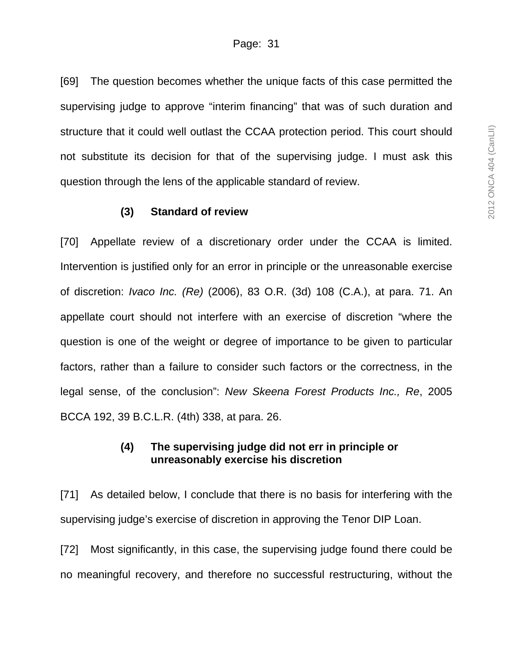[69] The question becomes whether the unique facts of this case permitted the supervising judge to approve "interim financing" that was of such duration and structure that it could well outlast the CCAA protection period. This court should not substitute its decision for that of the supervising judge. I must ask this question through the lens of the applicable standard of review.

#### **(3) Standard of review**

[70] Appellate review of a discretionary order under the CCAA is limited. Intervention is justified only for an error in principle or the unreasonable exercise of discretion: *Ivaco Inc. (Re)* (2006), 83 O.R. (3d) 108 (C.A.), at para. 71. An appellate court should not interfere with an exercise of discretion "where the question is one of the weight or degree of importance to be given to particular factors, rather than a failure to consider such factors or the correctness, in the legal sense, of the conclusion": *New Skeena Forest Products Inc., Re*, 2005 BCCA 192, 39 B.C.L.R. (4th) 338, at para. 26.

### **(4) The supervising judge did not err in principle or unreasonably exercise his discretion**

[71] As detailed below, I conclude that there is no basis for interfering with the supervising judge's exercise of discretion in approving the Tenor DIP Loan.

[72] Most significantly, in this case, the supervising judge found there could be no meaningful recovery, and therefore no successful restructuring, without the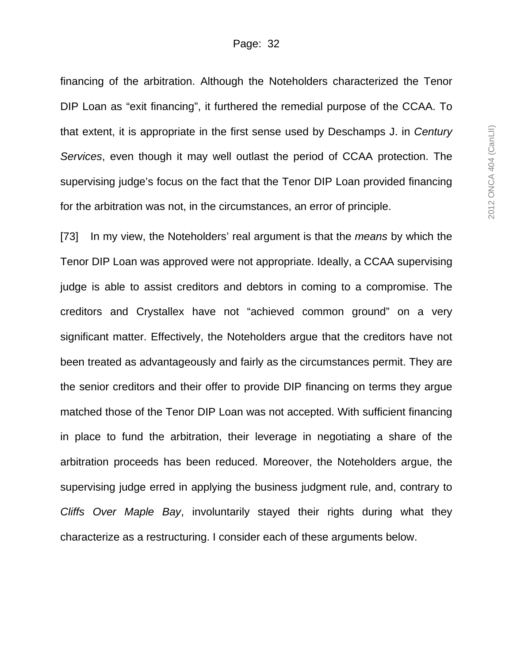financing of the arbitration. Although the Noteholders characterized the Tenor DIP Loan as "exit financing", it furthered the remedial purpose of the CCAA. To that extent, it is appropriate in the first sense used by Deschamps J. in *Century Services*, even though it may well outlast the period of CCAA protection. The supervising judge's focus on the fact that the Tenor DIP Loan provided financing for the arbitration was not, in the circumstances, an error of principle.

[73] In my view, the Noteholders' real argument is that the *means* by which the Tenor DIP Loan was approved were not appropriate. Ideally, a CCAA supervising judge is able to assist creditors and debtors in coming to a compromise. The creditors and Crystallex have not "achieved common ground" on a very significant matter. Effectively, the Noteholders argue that the creditors have not been treated as advantageously and fairly as the circumstances permit. They are the senior creditors and their offer to provide DIP financing on terms they argue matched those of the Tenor DIP Loan was not accepted. With sufficient financing in place to fund the arbitration, their leverage in negotiating a share of the arbitration proceeds has been reduced. Moreover, the Noteholders argue, the supervising judge erred in applying the business judgment rule, and, contrary to *Cliffs Over Maple Bay*, involuntarily stayed their rights during what they characterize as a restructuring. I consider each of these arguments below.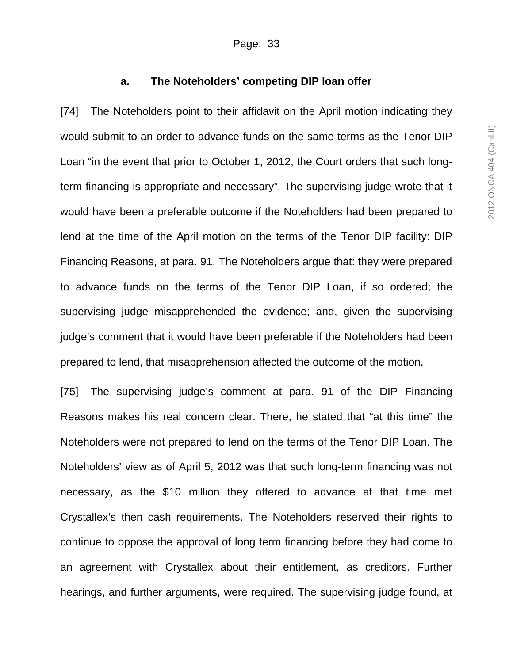## **a. The Noteholders' competing DIP loan offer**

[74] The Noteholders point to their affidavit on the April motion indicating they would submit to an order to advance funds on the same terms as the Tenor DIP Loan "in the event that prior to October 1, 2012, the Court orders that such longterm financing is appropriate and necessary". The supervising judge wrote that it would have been a preferable outcome if the Noteholders had been prepared to lend at the time of the April motion on the terms of the Tenor DIP facility: DIP Financing Reasons, at para. 91. The Noteholders argue that: they were prepared to advance funds on the terms of the Tenor DIP Loan, if so ordered; the supervising judge misapprehended the evidence; and, given the supervising judge's comment that it would have been preferable if the Noteholders had been prepared to lend, that misapprehension affected the outcome of the motion.

[75] The supervising judge's comment at para. 91 of the DIP Financing Reasons makes his real concern clear. There, he stated that "at this time" the Noteholders were not prepared to lend on the terms of the Tenor DIP Loan. The Noteholders' view as of April 5, 2012 was that such long-term financing was not necessary, as the \$10 million they offered to advance at that time met Crystallex's then cash requirements. The Noteholders reserved their rights to continue to oppose the approval of long term financing before they had come to an agreement with Crystallex about their entitlement, as creditors. Further hearings, and further arguments, were required. The supervising judge found, at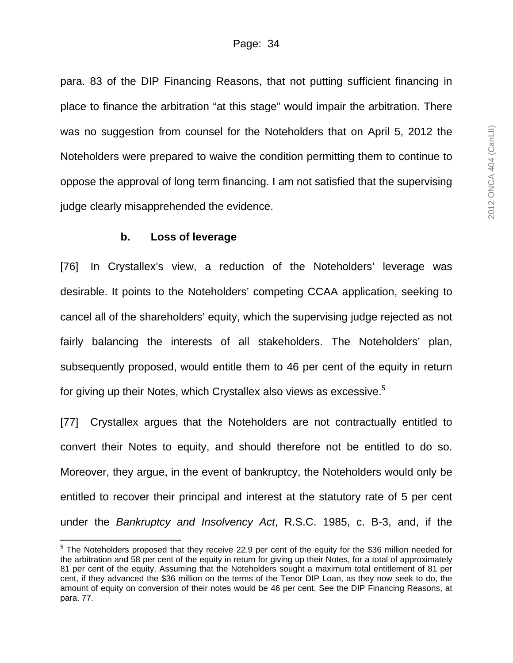para. 83 of the DIP Financing Reasons, that not putting sufficient financing in place to finance the arbitration "at this stage" would impair the arbitration. There was no suggestion from counsel for the Noteholders that on April 5, 2012 the Noteholders were prepared to waive the condition permitting them to continue to oppose the approval of long term financing. I am not satisfied that the supervising judge clearly misapprehended the evidence.

#### **b. Loss of leverage**

[76] In Crystallex's view, a reduction of the Noteholders' leverage was desirable. It points to the Noteholders' competing CCAA application, seeking to cancel all of the shareholders' equity, which the supervising judge rejected as not fairly balancing the interests of all stakeholders. The Noteholders' plan, subsequently proposed, would entitle them to 46 per cent of the equity in return for giving up their Notes, which Crystallex also views as excessive.<sup>5</sup>

[77] Crystallex argues that the Noteholders are not contractually entitled to convert their Notes to equity, and should therefore not be entitled to do so. Moreover, they argue, in the event of bankruptcy, the Noteholders would only be entitled to recover their principal and interest at the statutory rate of 5 per cent under the *Bankruptcy and Insolvency Act*, R.S.C. 1985, c. B-3, and, if the

 5 The Noteholders proposed that they receive 22.9 per cent of the equity for the \$36 million needed for the arbitration and 58 per cent of the equity in return for giving up their Notes, for a total of approximately 81 per cent of the equity. Assuming that the Noteholders sought a maximum total entitlement of 81 per cent, if they advanced the \$36 million on the terms of the Tenor DIP Loan, as they now seek to do, the amount of equity on conversion of their notes would be 46 per cent. See the DIP Financing Reasons, at para. 77.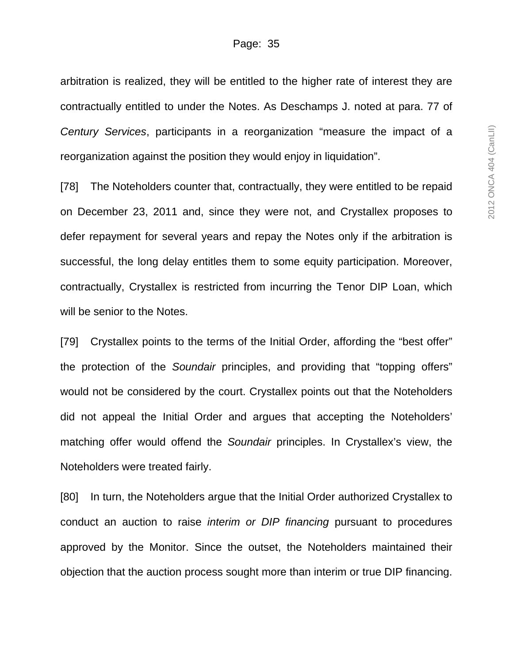arbitration is realized, they will be entitled to the higher rate of interest they are contractually entitled to under the Notes. As Deschamps J. noted at para. 77 of *Century Services*, participants in a reorganization "measure the impact of a reorganization against the position they would enjoy in liquidation".

[78] The Noteholders counter that, contractually, they were entitled to be repaid on December 23, 2011 and, since they were not, and Crystallex proposes to defer repayment for several years and repay the Notes only if the arbitration is successful, the long delay entitles them to some equity participation. Moreover, contractually, Crystallex is restricted from incurring the Tenor DIP Loan, which will be senior to the Notes.

[79] Crystallex points to the terms of the Initial Order, affording the "best offer" the protection of the *Soundair* principles, and providing that "topping offers" would not be considered by the court. Crystallex points out that the Noteholders did not appeal the Initial Order and argues that accepting the Noteholders' matching offer would offend the *Soundair* principles. In Crystallex's view, the Noteholders were treated fairly.

[80] In turn, the Noteholders argue that the Initial Order authorized Crystallex to conduct an auction to raise *interim or DIP financing* pursuant to procedures approved by the Monitor. Since the outset, the Noteholders maintained their objection that the auction process sought more than interim or true DIP financing.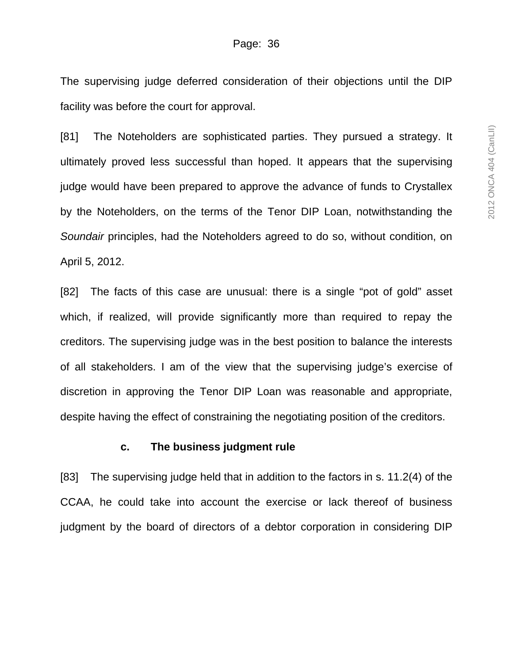The supervising judge deferred consideration of their objections until the DIP facility was before the court for approval.

[81] The Noteholders are sophisticated parties. They pursued a strategy. It ultimately proved less successful than hoped. It appears that the supervising judge would have been prepared to approve the advance of funds to Crystallex by the Noteholders, on the terms of the Tenor DIP Loan, notwithstanding the *Soundair* principles, had the Noteholders agreed to do so, without condition, on April 5, 2012.

[82] The facts of this case are unusual: there is a single "pot of gold" asset which, if realized, will provide significantly more than required to repay the creditors. The supervising judge was in the best position to balance the interests of all stakeholders. I am of the view that the supervising judge's exercise of discretion in approving the Tenor DIP Loan was reasonable and appropriate, despite having the effect of constraining the negotiating position of the creditors.

#### **c. The business judgment rule**

[83] The supervising judge held that in addition to the factors in s. 11.2(4) of the CCAA, he could take into account the exercise or lack thereof of business judgment by the board of directors of a debtor corporation in considering DIP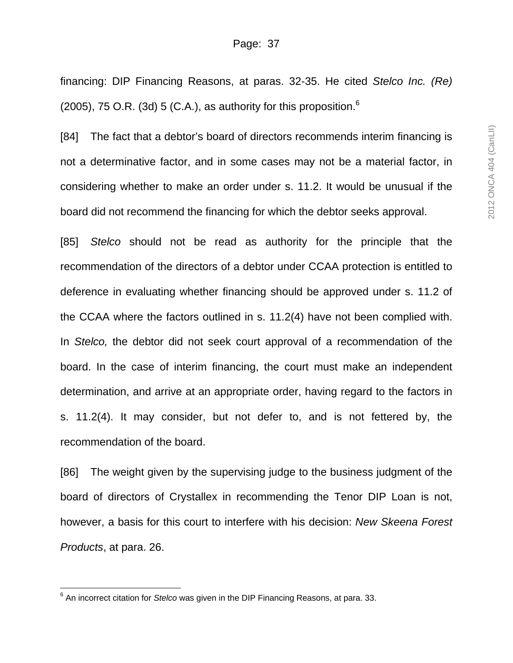financing: DIP Financing Reasons, at paras. 32-35. He cited *Stelco Inc. (Re)* (2005), 75 O.R. (3d) 5 (C.A.), as authority for this proposition.<sup>6</sup>

[84] The fact that a debtor's board of directors recommends interim financing is not a determinative factor, and in some cases may not be a material factor, in considering whether to make an order under s. 11.2. It would be unusual if the board did not recommend the financing for which the debtor seeks approval.

[85] *Stelco* should not be read as authority for the principle that the recommendation of the directors of a debtor under CCAA protection is entitled to deference in evaluating whether financing should be approved under s. 11.2 of the CCAA where the factors outlined in s. 11.2(4) have not been complied with. In *Stelco,* the debtor did not seek court approval of a recommendation of the board. In the case of interim financing, the court must make an independent determination, and arrive at an appropriate order, having regard to the factors in s. 11.2(4). It may consider, but not defer to, and is not fettered by, the recommendation of the board.

[86] The weight given by the supervising judge to the business judgment of the board of directors of Crystallex in recommending the Tenor DIP Loan is not, however, a basis for this court to interfere with his decision: *New Skeena Forest Products*, at para. 26.

 $\overline{a}$ 

<sup>6</sup> An incorrect citation for *Stelco* was given in the DIP Financing Reasons, at para. 33.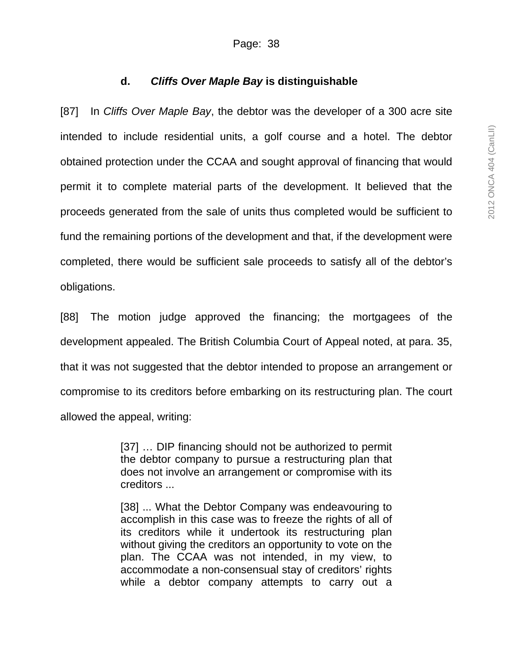# **d.** *Cliffs Over Maple Bay* **is distinguishable**

[87] In *Cliffs Over Maple Bay*, the debtor was the developer of a 300 acre site intended to include residential units, a golf course and a hotel. The debtor obtained protection under the CCAA and sought approval of financing that would permit it to complete material parts of the development. It believed that the proceeds generated from the sale of units thus completed would be sufficient to fund the remaining portions of the development and that, if the development were completed, there would be sufficient sale proceeds to satisfy all of the debtor's obligations.

[88] The motion judge approved the financing; the mortgagees of the development appealed. The British Columbia Court of Appeal noted, at para. 35, that it was not suggested that the debtor intended to propose an arrangement or compromise to its creditors before embarking on its restructuring plan. The court allowed the appeal, writing:

> [37] ... DIP financing should not be authorized to permit the debtor company to pursue a restructuring plan that does not involve an arrangement or compromise with its creditors ...

> [38] ... What the Debtor Company was endeavouring to accomplish in this case was to freeze the rights of all of its creditors while it undertook its restructuring plan without giving the creditors an opportunity to vote on the plan. The CCAA was not intended, in my view, to accommodate a non-consensual stay of creditors' rights while a debtor company attempts to carry out a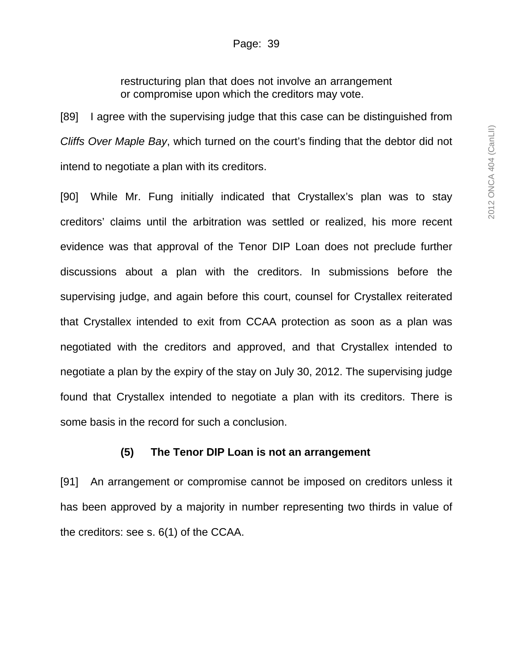restructuring plan that does not involve an arrangement or compromise upon which the creditors may vote.

[89] I agree with the supervising judge that this case can be distinguished from *Cliffs Over Maple Bay*, which turned on the court's finding that the debtor did not intend to negotiate a plan with its creditors.

[90] While Mr. Fung initially indicated that Crystallex's plan was to stay creditors' claims until the arbitration was settled or realized, his more recent evidence was that approval of the Tenor DIP Loan does not preclude further discussions about a plan with the creditors. In submissions before the supervising judge, and again before this court, counsel for Crystallex reiterated that Crystallex intended to exit from CCAA protection as soon as a plan was negotiated with the creditors and approved, and that Crystallex intended to negotiate a plan by the expiry of the stay on July 30, 2012. The supervising judge found that Crystallex intended to negotiate a plan with its creditors. There is some basis in the record for such a conclusion.

#### **(5) The Tenor DIP Loan is not an arrangement**

[91] An arrangement or compromise cannot be imposed on creditors unless it has been approved by a majority in number representing two thirds in value of the creditors: see s. 6(1) of the CCAA.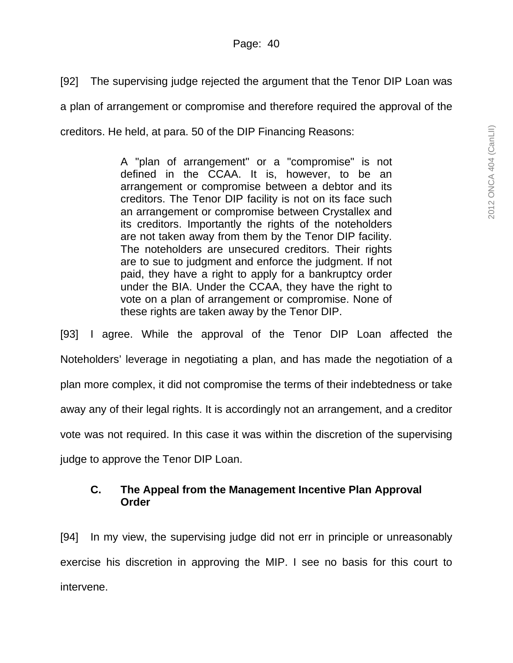[92] The supervising judge rejected the argument that the Tenor DIP Loan was a plan of arrangement or compromise and therefore required the approval of the creditors. He held, at para. 50 of the DIP Financing Reasons:

> A "plan of arrangement" or a "compromise" is not defined in the CCAA. It is, however, to be an arrangement or compromise between a debtor and its creditors. The Tenor DIP facility is not on its face such an arrangement or compromise between Crystallex and its creditors. Importantly the rights of the noteholders are not taken away from them by the Tenor DIP facility. The noteholders are unsecured creditors. Their rights are to sue to judgment and enforce the judgment. If not paid, they have a right to apply for a bankruptcy order under the BIA. Under the CCAA, they have the right to vote on a plan of arrangement or compromise. None of these rights are taken away by the Tenor DIP.

[93] I agree. While the approval of the Tenor DIP Loan affected the Noteholders' leverage in negotiating a plan, and has made the negotiation of a plan more complex, it did not compromise the terms of their indebtedness or take away any of their legal rights. It is accordingly not an arrangement, and a creditor vote was not required. In this case it was within the discretion of the supervising judge to approve the Tenor DIP Loan.

## **C. The Appeal from the Management Incentive Plan Approval Order**

[94] In my view, the supervising judge did not err in principle or unreasonably exercise his discretion in approving the MIP. I see no basis for this court to intervene.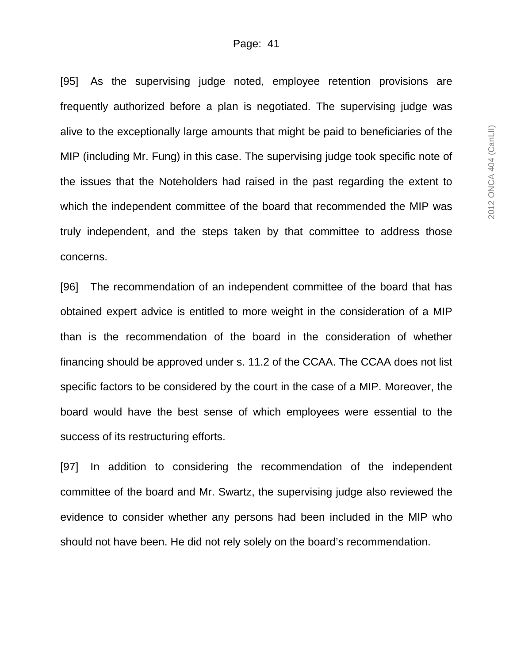[95] As the supervising judge noted, employee retention provisions are frequently authorized before a plan is negotiated. The supervising judge was alive to the exceptionally large amounts that might be paid to beneficiaries of the MIP (including Mr. Fung) in this case. The supervising judge took specific note of the issues that the Noteholders had raised in the past regarding the extent to which the independent committee of the board that recommended the MIP was truly independent, and the steps taken by that committee to address those concerns.

[96] The recommendation of an independent committee of the board that has obtained expert advice is entitled to more weight in the consideration of a MIP than is the recommendation of the board in the consideration of whether financing should be approved under s. 11.2 of the CCAA. The CCAA does not list specific factors to be considered by the court in the case of a MIP. Moreover, the board would have the best sense of which employees were essential to the success of its restructuring efforts.

[97] In addition to considering the recommendation of the independent committee of the board and Mr. Swartz, the supervising judge also reviewed the evidence to consider whether any persons had been included in the MIP who should not have been. He did not rely solely on the board's recommendation.